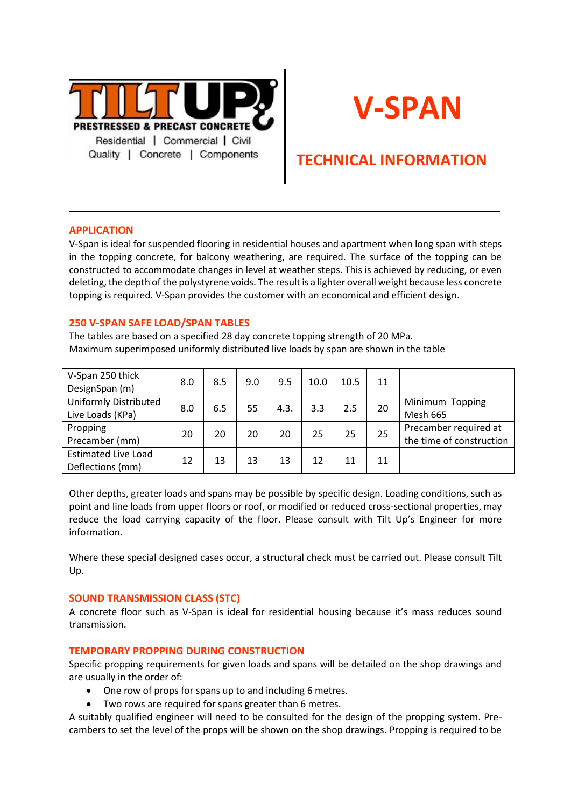

# **V-SPAN**

# **TECHNICAL INFORMATION**

# **APPLICATION**

V-Span is ideal for suspended flooring in residential houses and apartment when long span with steps in the topping concrete, for balcony weathering, are required. The surface of the topping can be constructed to accommodate changes in level at weather steps. This is achieved by reducing, or even deleting, the depth of the polystyrene voids. The result is a lighter overall weight because less concrete topping is required. V-Span provides the customer with an economical and efficient design.

# **250 V-SPAN SAFE LOAD/SPAN TABLES**

The tables are based on a specified 28 day concrete topping strength of 20 MPa. Maximum superimposed uniformly distributed live loads by span are shown in the table

| V-Span 250 thick           | 8.0 | 8.5 | 9.0 | 9.5  | 10.0 | 10.5 | 11 |                          |
|----------------------------|-----|-----|-----|------|------|------|----|--------------------------|
| DesignSpan (m)             |     |     |     |      |      |      |    |                          |
| Uniformly Distributed      | 8.0 | 6.5 | 55  | 4.3. | 3.3  | 2.5  | 20 | Minimum Topping          |
| Live Loads (KPa)           |     |     |     |      |      |      |    | <b>Mesh 665</b>          |
| Propping                   | 20  | 20  | 20  | 20   | 25   | 25   | 25 | Precamber required at    |
| Precamber (mm)             |     |     |     |      |      |      |    | the time of construction |
| <b>Estimated Live Load</b> | 12  | 13  | 13  | 13   | 12   | 11   | 11 |                          |
| Deflections (mm)           |     |     |     |      |      |      |    |                          |

Other depths, greater loads and spans may be possible by specific design. Loading conditions, such as point and line loads from upper floors or roof, or modified or reduced cross-sectional properties, may reduce the load carrying capacity of the floor. Please consult with Tilt Up's Engineer for more information.

Where these special designed cases occur, a structural check must be carried out. Please consult Tilt Up.

# **SOUND TRANSMISSION CLASS (STC)**

A concrete floor such as V-Span is ideal for residential housing because it's mass reduces sound transmission.

# **TEMPORARY PROPPING DURING CONSTRUCTION**

Specific propping requirements for given loads and spans will be detailed on the shop drawings and are usually in the order of:

- One row of props for spans up to and including 6 metres.
- Two rows are required for spans greater than 6 metres.

A suitably qualified engineer will need to be consulted for the design of the propping system. Precambers to set the level of the props will be shown on the shop drawings. Propping is required to be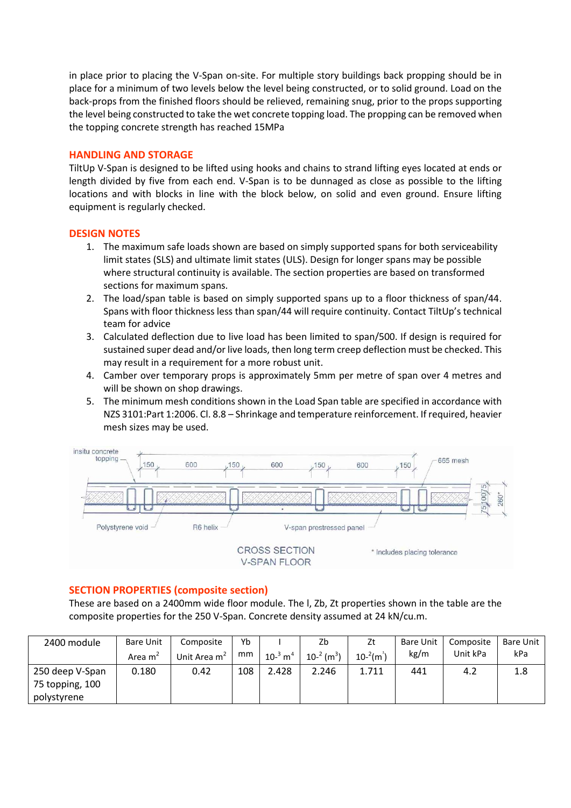in place prior to placing the V-Span on-site. For multiple story buildings back propping should be in place for a minimum of two levels below the level being constructed, or to solid ground. Load on the back-props from the finished floors should be relieved, remaining snug, prior to the props supporting the level being constructed to take the wet concrete topping load. The propping can be removed when the topping concrete strength has reached 15MPa

### **HANDLING AND STORAGE**

TiltUp V-Span is designed to be lifted using hooks and chains to strand lifting eyes located at ends or length divided by five from each end. V-Span is to be dunnaged as close as possible to the lifting locations and with blocks in line with the block below, on solid and even ground. Ensure lifting equipment is regularly checked.

# **DESIGN NOTES**

- 1. The maximum safe loads shown are based on simply supported spans for both serviceability limit states (SLS) and ultimate limit states (ULS). Design for longer spans may be possible where structural continuity is available. The section properties are based on transformed sections for maximum spans.
- 2. The load/span table is based on simply supported spans up to a floor thickness of span/44. Spans with floor thickness less than span/44 will require continuity. Contact TiltUp's technical team for advice
- 3. Calculated deflection due to live load has been limited to span/500. If design is required for sustained super dead and/or live loads, then long term creep deflection must be checked. This may result in a requirement for a more robust unit.
- 4. Camber over temporary props is approximately 5mm per metre of span over 4 metres and will be shown on shop drawings.
- 5. The minimum mesh conditions shown in the Load Span table are specified in accordance with NZS 3101:Part 1:2006. Cl. 8.8 – Shrinkage and temperature reinforcement. If required, heavier mesh sizes may be used.



#### **SECTION PROPERTIES (composite section)**

These are based on a 2400mm wide floor module. The l, Zb, Zt properties shown in the table are the composite properties for the 250 V-Span. Concrete density assumed at 24 kN/cu.m.

| 2400 module     | <b>Bare Unit</b>    | Composite      | Yb  |                          | Zb                          | Zt                          | <b>Bare Unit</b> | Composite | <b>Bare Unit</b> |
|-----------------|---------------------|----------------|-----|--------------------------|-----------------------------|-----------------------------|------------------|-----------|------------------|
|                 | Area m <sup>2</sup> | Unit Area $m2$ | mm  | $10^{-3}$ m <sup>4</sup> | $10^{-2}$ (m <sup>3</sup> ) | $10^{-2}$ (m <sup>3</sup> ) | kg/m             | Unit kPa  | kPa              |
| 250 deep V-Span | 0.180               | 0.42           | 108 | 2.428                    | 2.246                       | 1.711                       | 441              | 4.2       | 1.8              |
| 75 topping, 100 |                     |                |     |                          |                             |                             |                  |           |                  |
| polystyrene     |                     |                |     |                          |                             |                             |                  |           |                  |